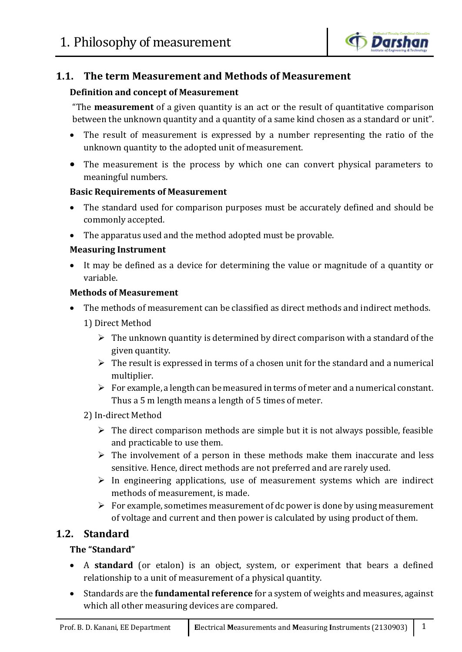

# **1.1. The term Measurement and Methods of Measurement**

## **Definition and concept of Measurement**

"The **measurement** of a given quantity is an act or the result of quantitative comparison between the unknown quantity and a quantity of a same kind chosen as a standard or unit".

- The result of measurement is expressed by a number representing the ratio of the unknown quantity to the adopted unit of measurement.
- The measurement is the process by which one can convert physical parameters to meaningful numbers.

## **Basic Requirements of Measurement**

- The standard used for comparison purposes must be accurately defined and should be commonly accepted.
- The apparatus used and the method adopted must be provable.

#### **Measuring Instrument**

 It may be defined as a device for determining the value or magnitude of a quantity or variable.

## **Methods of Measurement**

The methods of measurement can be classified as direct methods and indirect methods.

1) Direct Method

- $\triangleright$  The unknown quantity is determined by direct comparison with a standard of the given quantity.
- $\triangleright$  The result is expressed in terms of a chosen unit for the standard and a numerical multiplier.
- $\triangleright$  For example, a length can be measured in terms of meter and a numerical constant. Thus a 5 m length means a length of 5 times of meter.

## 2) In-direct Method

- $\triangleright$  The direct comparison methods are simple but it is not always possible, feasible and practicable to use them.
- $\triangleright$  The involvement of a person in these methods make them inaccurate and less sensitive. Hence, direct methods are not preferred and are rarely used.
- $\triangleright$  In engineering applications, use of measurement systems which are indirect methods of measurement, is made.
- $\triangleright$  For example, sometimes measurement of dc power is done by using measurement of voltage and current and then power is calculated by using product of them.

# **1.2. Standard**

## **The "Standard"**

- A **standard** (or etalon) is an object, system, or experiment that bears a defined relationship to a unit of measurement of a physical quantity.
- Standards are the **fundamental reference** for a system of weights and measures, against which all other measuring devices are compared.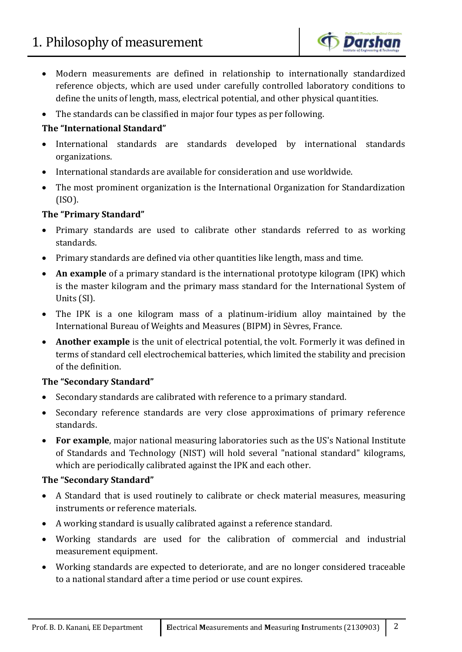

- Modern measurements are defined in relationship to internationally standardized reference objects, which are used under carefully controlled laboratory conditions to define the units of length, mass, electrical potential, and other physical quantities.
- The standards can be classified in major four types as per following.

## **The "International Standard"**

- International standards are standards developed by international standards organizations.
- International standards are available for consideration and use worldwide.
- The most prominent organization is the International Organization for Standardization (ISO).

## **The "Primary Standard"**

- Primary standards are used to calibrate other standards referred to as working standards.
- Primary standards are defined via other quantities like length, mass and time.
- **An example** of a primary standard is the international prototype kilogram (IPK) which is the master kilogram and the primary mass standard for the International System of Units (SI).
- The IPK is a one kilogram mass of a platinum-iridium alloy maintained by the International Bureau of Weights and Measures (BIPM) in Sèvres, France.
- **Another example** is the unit of electrical potential, the volt. Formerly it was defined in terms of standard cell electrochemical batteries, which limited the stability and precision of the definition.

## **The "Secondary Standard"**

- Secondary standards are calibrated with reference to a primary standard.
- Secondary reference standards are very close approximations of primary reference standards.
- **For example**, major national measuring laboratories such as the US's National Institute of Standards and Technology (NIST) will hold several "national standard" kilograms, which are periodically calibrated against the IPK and each other.

# **The "Secondary Standard"**

- A Standard that is used routinely to calibrate or check material measures, measuring instruments or reference materials.
- A working standard is usually calibrated against a reference standard.
- Working standards are used for the calibration of commercial and industrial measurement equipment.
- Working standards are expected to deteriorate, and are no longer considered traceable to a national standard after a time period or use count expires.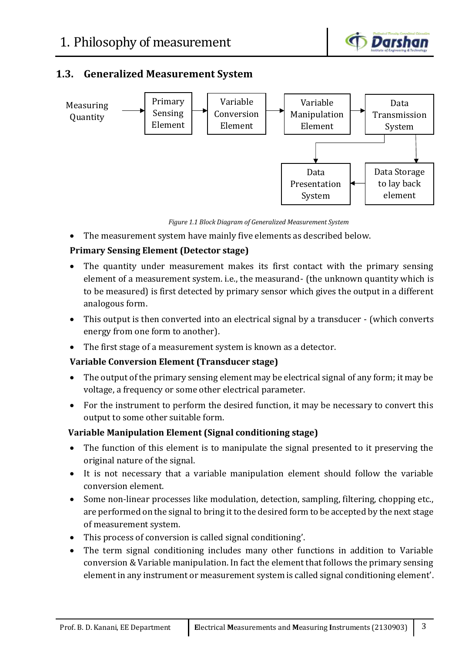

# **1.3. Generalized Measurement System**



*Figure 1.1 Block Diagram of Generalized Measurement System*

The measurement system have mainly five elements as described below.

## **Primary Sensing Element (Detector stage)**

- The quantity under measurement makes its first contact with the primary sensing element of a measurement system. i.e., the measurand- (the unknown quantity which is to be measured) is first detected by primary sensor which gives the output in a different analogous form.
- This output is then converted into an electrical signal by a transducer (which converts energy from one form to another).
- The first stage of a measurement system is known as a detector.

# **Variable Conversion Element (Transducer stage)**

- The output of the primary sensing element may be electrical signal of any form; it may be voltage, a frequency or some other electrical parameter.
- For the instrument to perform the desired function, it may be necessary to convert this output to some other suitable form.

## **Variable Manipulation Element (Signal conditioning stage)**

- The function of this element is to manipulate the signal presented to it preserving the original nature of the signal.
- It is not necessary that a variable manipulation element should follow the variable conversion element.
- Some non-linear processes like modulation, detection, sampling, filtering, chopping etc., are performed on the signal to bring it to the desired form to be accepted by the next stage of measurement system.
- This process of conversion is called signal conditioning'.
- The term signal conditioning includes many other functions in addition to Variable conversion & Variable manipulation. In fact the element that follows the primary sensing element in any instrument or measurement system is called signal conditioning element'.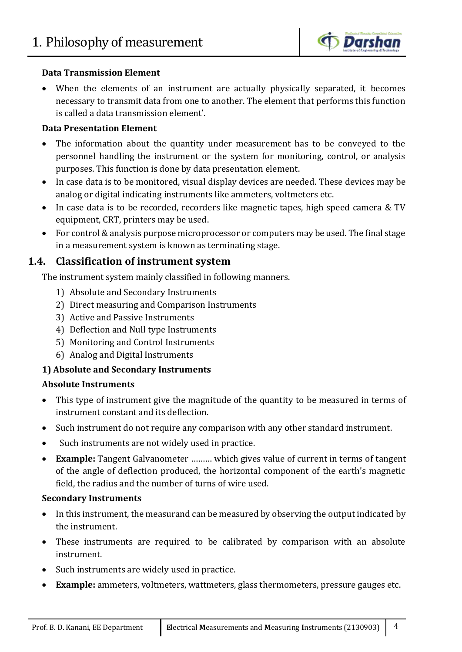

## **Data Transmission Element**

 When the elements of an instrument are actually physically separated, it becomes necessary to transmit data from one to another. The element that performs this function is called a data transmission element'.

## **Data Presentation Element**

- The information about the quantity under measurement has to be conveyed to the personnel handling the instrument or the system for monitoring, control, or analysis purposes. This function is done by data presentation element.
- In case data is to be monitored, visual display devices are needed. These devices may be analog or digital indicating instruments like ammeters, voltmeters etc.
- In case data is to be recorded, recorders like magnetic tapes, high speed camera & TV equipment, CRT, printers may be used.
- For control & analysis purpose microprocessor or computers may be used. The final stage in a measurement system is known as terminating stage.

## **1.4. Classification of instrument system**

The instrument system mainly classified in following manners.

- 1) Absolute and Secondary Instruments
- 2) Direct measuring and Comparison Instruments
- 3) Active and Passive Instruments
- 4) Deflection and Null type Instruments
- 5) Monitoring and Control Instruments
- 6) Analog and Digital Instruments

## **1) Absolute and Secondary Instruments**

#### **Absolute Instruments**

- This type of instrument give the magnitude of the quantity to be measured in terms of instrument constant and its deflection.
- Such instrument do not require any comparison with any other standard instrument.
- Such instruments are not widely used in practice.
- **Example:** Tangent Galvanometer ……… which gives value of current in terms of tangent of the angle of deflection produced, the horizontal component of the earth's magnetic field, the radius and the number of turns of wire used.

#### **Secondary Instruments**

- In this instrument, the measurand can be measured by observing the output indicated by the instrument.
- These instruments are required to be calibrated by comparison with an absolute instrument.
- Such instruments are widely used in practice.
- **Example:** ammeters, voltmeters, wattmeters, glass thermometers, pressure gauges etc.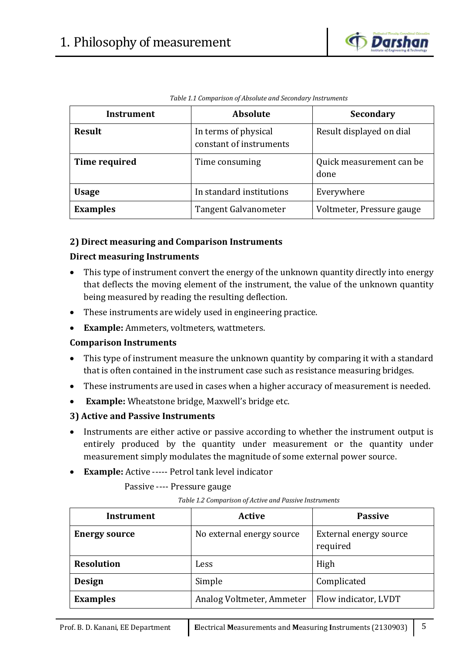

| Instrument      | <b>Absolute</b>                                 | <b>Secondary</b>                 |
|-----------------|-------------------------------------------------|----------------------------------|
| <b>Result</b>   | In terms of physical<br>constant of instruments | Result displayed on dial         |
| Time required   | Time consuming                                  | Quick measurement can be<br>done |
| <b>Usage</b>    | In standard institutions                        | Everywhere                       |
| <b>Examples</b> | Tangent Galvanometer                            | Voltmeter, Pressure gauge        |

*Table 1.1 Comparison of Absolute and Secondary Instruments*

## **2) Direct measuring and Comparison Instruments**

## **Direct measuring Instruments**

- This type of instrument convert the energy of the unknown quantity directly into energy that deflects the moving element of the instrument, the value of the unknown quantity being measured by reading the resulting deflection.
- These instruments are widely used in engineering practice.
- **Example:** Ammeters, voltmeters, wattmeters.

#### **Comparison Instruments**

- This type of instrument measure the unknown quantity by comparing it with a standard that is often contained in the instrument case such as resistance measuring bridges.
- These instruments are used in cases when a higher accuracy of measurement is needed.
- **Example:** Wheatstone bridge, Maxwell's bridge etc.

#### **3) Active and Passive Instruments**

- Instruments are either active or passive according to whether the instrument output is entirely produced by the quantity under measurement or the quantity under measurement simply modulates the magnitude of some external power source.
- **Example:** Active ----- Petrol tank level indicator

Passive ---- Pressure gauge

*Table 1.2 Comparison of Active and Passive Instruments*

| Instrument           | Active                    | <b>Passive</b>                     |
|----------------------|---------------------------|------------------------------------|
| <b>Energy source</b> | No external energy source | External energy source<br>required |
| <b>Resolution</b>    | Less                      | High                               |
| <b>Design</b>        | Simple                    | Complicated                        |
| <b>Examples</b>      | Analog Voltmeter, Ammeter | Flow indicator, LVDT               |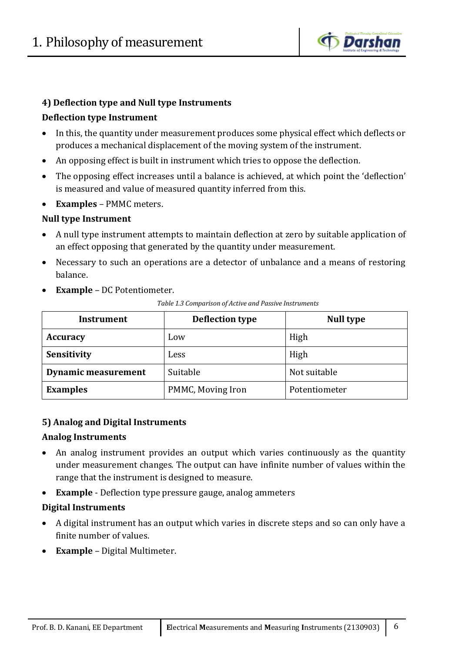

#### **4) Deflection type and Null type Instruments**

## **Deflection type Instrument**

- In this, the quantity under measurement produces some physical effect which deflects or produces a mechanical displacement of the moving system of the instrument.
- An opposing effect is built in instrument which tries to oppose the deflection.
- The opposing effect increases until a balance is achieved, at which point the 'deflection' is measured and value of measured quantity inferred from this.
- **Examples** PMMC meters.

## **Null type Instrument**

- A null type instrument attempts to maintain deflection at zero by suitable application of an effect opposing that generated by the quantity under measurement.
- Necessary to such an operations are a detector of unbalance and a means of restoring balance.
- **Example** DC Potentiometer.

| Table 1.3 Comparison of Active and Passive Instruments |
|--------------------------------------------------------|
|--------------------------------------------------------|

| <b>Instrument</b>          | <b>Deflection type</b> | <b>Null type</b> |
|----------------------------|------------------------|------------------|
| <b>Accuracy</b>            | Low                    | High             |
| Sensitivity                | Less                   | High             |
| <b>Dynamic measurement</b> | Suitable               | Not suitable     |
| <b>Examples</b>            | PMMC, Moving Iron      | Potentiometer    |

#### **5) Analog and Digital Instruments**

#### **Analog Instruments**

- An analog instrument provides an output which varies continuously as the quantity under measurement changes. The output can have infinite number of values within the range that the instrument is designed to measure.
- **Example** Deflection type pressure gauge, analog ammeters

#### **Digital Instruments**

- A digital instrument has an output which varies in discrete steps and so can only have a finite number of values.
- **Example** Digital Multimeter.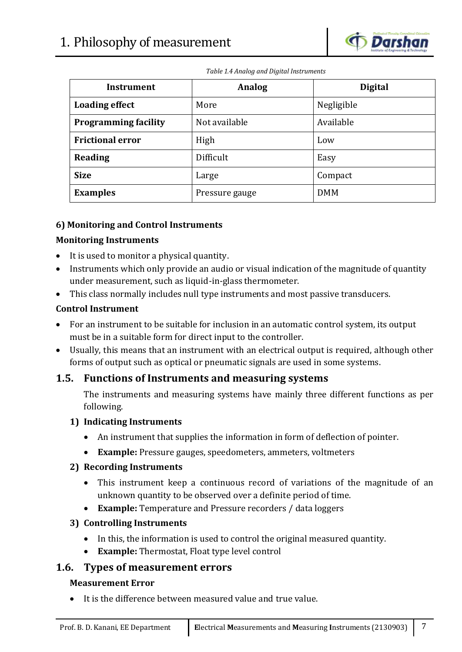

*Table 1.4 Analog and Digital Instruments*

| Instrument                  | <b>Analog</b>  | <b>Digital</b> |
|-----------------------------|----------------|----------------|
| <b>Loading effect</b>       | More           | Negligible     |
| <b>Programming facility</b> | Not available  | Available      |
| <b>Frictional error</b>     | High           | Low            |
| Reading                     | Difficult      | Easy           |
| <b>Size</b>                 | Large          | Compact        |
| <b>Examples</b>             | Pressure gauge | <b>DMM</b>     |

## **6) Monitoring and Control Instruments**

## **Monitoring Instruments**

- It is used to monitor a physical quantity.
- Instruments which only provide an audio or visual indication of the magnitude of quantity under measurement, such as liquid-in-glass thermometer.
- This class normally includes null type instruments and most passive transducers.

#### **Control Instrument**

- For an instrument to be suitable for inclusion in an automatic control system, its output must be in a suitable form for direct input to the controller.
- Usually, this means that an instrument with an electrical output is required, although other forms of output such as optical or pneumatic signals are used in some systems.

## **1.5. Functions of Instruments and measuring systems**

The instruments and measuring systems have mainly three different functions as per following.

#### **1) Indicating Instruments**

- An instrument that supplies the information in form of deflection of pointer.
- **Example:** Pressure gauges, speedometers, ammeters, voltmeters

## **2) Recording Instruments**

- This instrument keep a continuous record of variations of the magnitude of an unknown quantity to be observed over a definite period of time.
- **Example:** Temperature and Pressure recorders / data loggers

## **3) Controlling Instruments**

- In this, the information is used to control the original measured quantity.
- **Example:** Thermostat, Float type level control

## **1.6. Types of measurement errors**

#### **Measurement Error**

It is the difference between measured value and true value.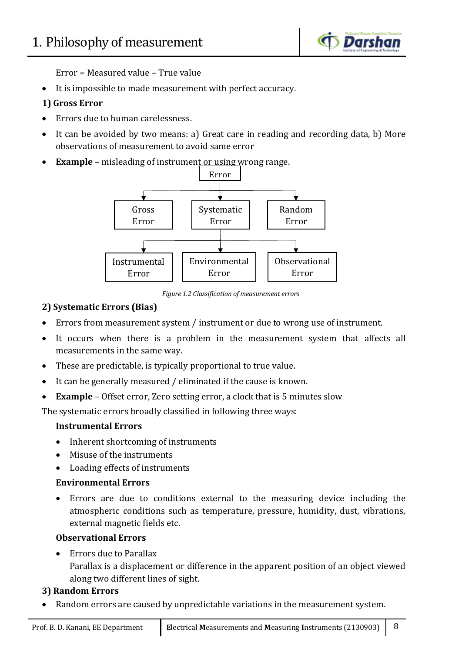

Error = Measured value – True value

It is impossible to made measurement with perfect accuracy.

## **1) Gross Error**

- Errors due to human carelessness.
- It can be avoided by two means: a) Great care in reading and recording data, b) More observations of measurement to avoid same error
- **Example** misleading of instrument or using wrong range.



*Figure 1.2 Classification of measurement errors*

## **2) Systematic Errors (Bias)**

- Errors from measurement system / instrument or due to wrong use of instrument.
- It occurs when there is a problem in the measurement system that affects all measurements in the same way.
- These are predictable, is typically proportional to true value.
- It can be generally measured / eliminated if the cause is known.
- **Example** Offset error, Zero setting error, a clock that is 5 minutes slow

The systematic errors broadly classified in following three ways:

## **Instrumental Errors**

- Inherent shortcoming of instruments
- Misuse of the instruments
- Loading effects of instruments

# **Environmental Errors**

 Errors are due to conditions external to the measuring device including the atmospheric conditions such as temperature, pressure, humidity, dust, vibrations, external magnetic fields etc.

## **Observational Errors**

• Errors due to Parallax

Parallax is a displacement or difference in the apparent position of an object viewed along two different lines of sight.

# **3) Random Errors**

Random errors are caused by unpredictable variations in the measurement system.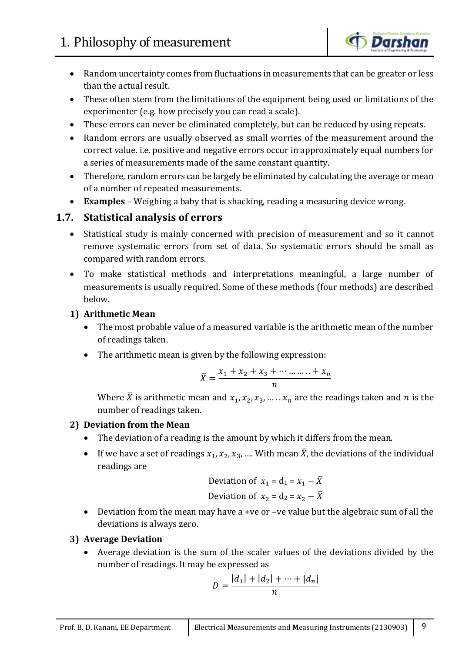

- Random uncertainty comes from fluctuations in measurements that can be greater or less than the actual result.
- These often stem from the limitations of the equipment being used or limitations of the experimenter (e.g. how precisely you can read a scale).
- These errors can never be eliminated completely, but can be reduced by using repeats.
- Random errors are usually observed as small worries of the measurement around the correct value. i.e. positive and negative errors occur in approximately equal numbers for a series of measurements made of the same constant quantity.
- Therefore, random errors can be largely be eliminated by calculating the average or mean of a number of repeated measurements.
- **Examples** Weighing a baby that is shacking, reading a measuring device wrong.

# **1.7. Statistical analysis of errors**

- Statistical study is mainly concerned with precision of measurement and so it cannot remove systematic errors from set of data. So systematic errors should be small as compared with random errors.
- To make statistical methods and interpretations meaningful, a large number of measurements is usually required. Some of these methods (four methods) are described below.

## **1) Arithmetic Mean**

- The most probable value of a measured variable is the arithmetic mean of the number of readings taken.
- The arithmetic mean is given by the following expression:

$$
\bar{X} = \frac{x_1 + x_2 + x_3 + \dots + x_n}{n}
$$

Where  $\bar{X}$  is arithmetic mean and  $x_1, x_2, x_3, \ldots, x_n$  are the readings taken and *n* is the number of readings taken.

## **2) Deviation from the Mean**

- The deviation of a reading is the amount by which it differs from the mean.
- If we have a set of readings  $x_1, x_2, x_3, ...$  With mean  $\overline{X}$ , the deviations of the individual readings are

Deviation of 
$$
x_1 = d_1 = x_1 - \overline{X}
$$

\nDeviation of  $x_2 = d_2 = x_2 - \overline{X}$ 

 Deviation from the mean may have a +ve or –ve value but the algebraic sum of all the deviations is always zero.

# **3) Average Deviation**

 Average deviation is the sum of the scaler values of the deviations divided by the number of readings. It may be expressed as

$$
D = \frac{|d_1| + |d_2| + \dots + |d_n|}{n}
$$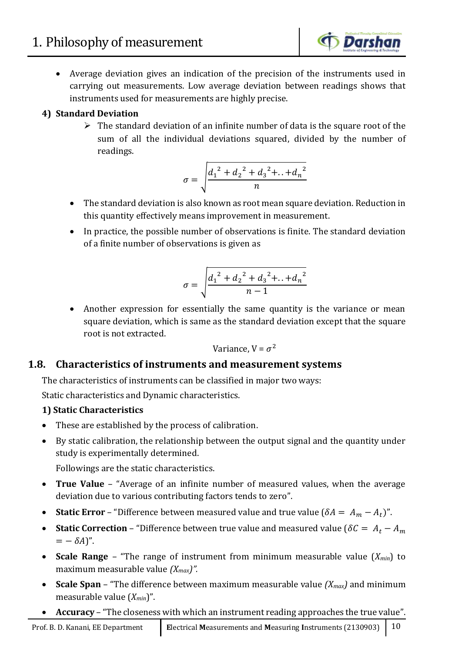

 Average deviation gives an indication of the precision of the instruments used in carrying out measurements. Low average deviation between readings shows that instruments used for measurements are highly precise.

# **4) Standard Deviation**

 $\triangleright$  The standard deviation of an infinite number of data is the square root of the sum of all the individual deviations squared, divided by the number of readings.

$$
\sigma = \sqrt{\frac{{d_1}^2 + {d_2}^2 + {d_3}^2 + ... + {d_n}^2}{n}}
$$

- The standard deviation is also known as root mean square deviation. Reduction in this quantity effectively means improvement in measurement.
- In practice, the possible number of observations is finite. The standard deviation of a finite number of observations is given as

$$
\sigma = \sqrt{\frac{{d_1}^2 + {d_2}^2 + {d_3}^2 + \dots + {d_n}^2}{n-1}}
$$

• Another expression for essentially the same quantity is the variance or mean square deviation, which is same as the standard deviation except that the square root is not extracted.

Variance, 
$$
V = \sigma^2
$$

# **1.8. Characteristics of instruments and measurement systems**

The characteristics of instruments can be classified in major two ways:

Static characteristics and Dynamic characteristics.

# **1) Static Characteristics**

- These are established by the process of calibration.
- By static calibration, the relationship between the output signal and the quantity under study is experimentally determined.

Followings are the static characteristics.

- **True Value** "Average of an infinite number of measured values, when the average deviation due to various contributing factors tends to zero".
- **Static Error** "Difference between measured value and true value  $(\delta A = A_m A_t)$ ".
- **Static Correction** "Difference between true value and measured value ( $\delta C = A_t A_m$  $= - \delta A$ ".
- **Scale Range** "The range of instrument from minimum measurable value (*Xmin*) to maximum measurable value *(Xmax)".*
- **Scale Span** "The difference between maximum measurable value *(Xmax)* and minimum measurable value (*Xmin*)".
- **Accuracy** "The closeness with which an instrument reading approaches the true value".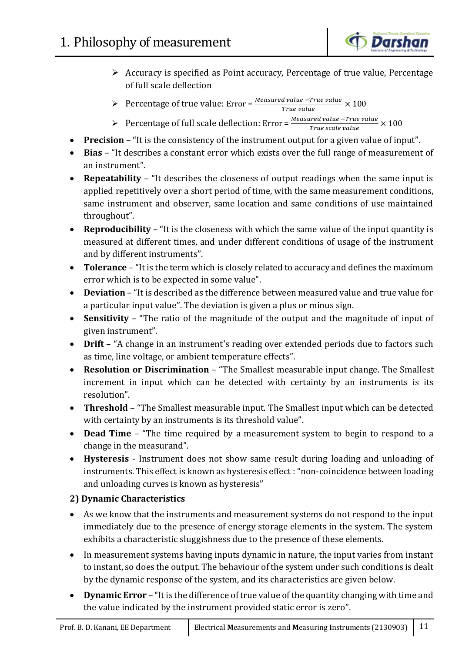

- Accuracy is specified as Point accuracy, Percentage of true value, Percentage of full scale deflection
- Percentage of true value: Error =  $\frac{Measured value True value}{T = 100} \times 100$ True value
- Percentage of full scale deflection: Error =  $\frac{Measured\ value True\ value}{T_{\text{true}}\}$  × 100 True scale value
- **Precision** "It is the consistency of the instrument output for a given value of input".
- **Bias** "It describes a constant error which exists over the full range of measurement of an instrument".
- **Repeatability** "It describes the closeness of output readings when the same input is applied repetitively over a short period of time, with the same measurement conditions, same instrument and observer, same location and same conditions of use maintained throughout".
- **Reproducibility** "It is the closeness with which the same value of the input quantity is measured at different times, and under different conditions of usage of the instrument and by different instruments".
- **Tolerance** "It is the term which is closely related to accuracy and defines the maximum error which is to be expected in some value".
- **Deviation** "It is described as the difference between measured value and true value for a particular input value". The deviation is given a plus or minus sign.
- **Sensitivity** "The ratio of the magnitude of the output and the magnitude of input of given instrument".
- **Drift** "A change in an instrument's reading over extended periods due to factors such as time, line voltage, or ambient temperature effects".
- **Resolution or Discrimination** "The Smallest measurable input change. The Smallest increment in input which can be detected with certainty by an instruments is its resolution".
- **Threshold** "The Smallest measurable input. The Smallest input which can be detected with certainty by an instruments is its threshold value".
- **Dead Time** "The time required by a measurement system to begin to respond to a change in the measurand".
- **Hysteresis** Instrument does not show same result during loading and unloading of instruments. This effect is known as hysteresis effect : "non-coincidence between loading and unloading curves is known as hysteresis"

## **2) Dynamic Characteristics**

- As we know that the instruments and measurement systems do not respond to the input immediately due to the presence of energy storage elements in the system. The system exhibits a characteristic sluggishness due to the presence of these elements.
- In measurement systems having inputs dynamic in nature, the input varies from instant to instant, so does the output. The behaviour of the system under such conditions is dealt by the dynamic response of the system, and its characteristics are given below.
- **Dynamic Error** "It is the difference of true value of the quantity changing with time and the value indicated by the instrument provided static error is zero".